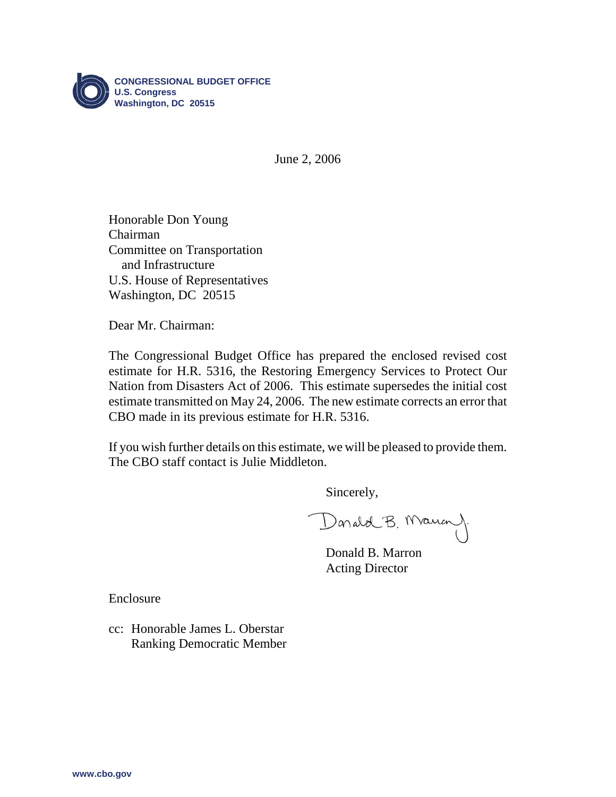

June 2, 2006

Honorable Don Young Chairman Committee on Transportation and Infrastructure U.S. House of Representatives Washington, DC 20515

Dear Mr. Chairman:

The Congressional Budget Office has prepared the enclosed revised cost estimate for H.R. 5316, the Restoring Emergency Services to Protect Our Nation from Disasters Act of 2006. This estimate supersedes the initial cost estimate transmitted on May 24, 2006. The new estimate corrects an error that CBO made in its previous estimate for H.R. 5316.

If you wish further details on this estimate, we will be pleased to provide them. The CBO staff contact is Julie Middleton.

Sincerely,

Donald B. Mauan)

Donald B. Marron Acting Director

Enclosure

cc: Honorable James L. Oberstar Ranking Democratic Member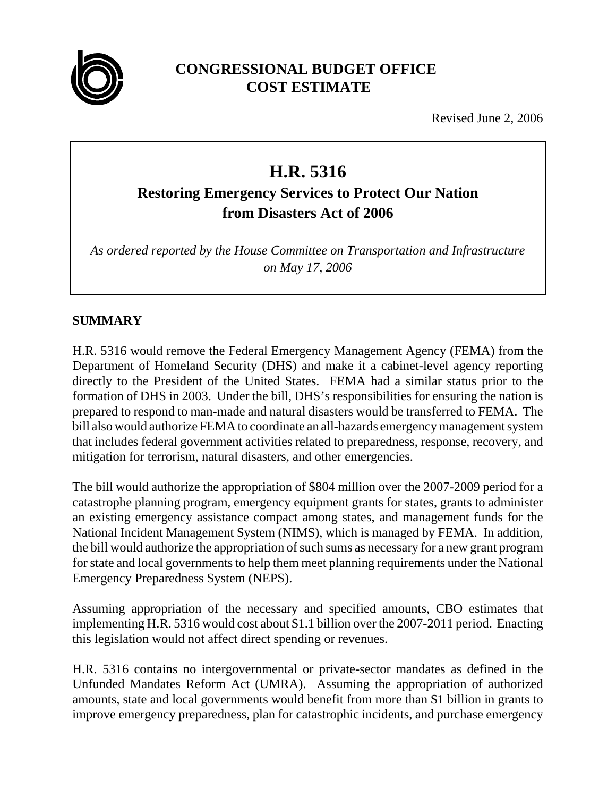

# **CONGRESSIONAL BUDGET OFFICE COST ESTIMATE**

Revised June 2, 2006

# **H.R. 5316**

# **Restoring Emergency Services to Protect Our Nation from Disasters Act of 2006**

*As ordered reported by the House Committee on Transportation and Infrastructure on May 17, 2006*

# **SUMMARY**

H.R. 5316 would remove the Federal Emergency Management Agency (FEMA) from the Department of Homeland Security (DHS) and make it a cabinet-level agency reporting directly to the President of the United States. FEMA had a similar status prior to the formation of DHS in 2003. Under the bill, DHS's responsibilities for ensuring the nation is prepared to respond to man-made and natural disasters would be transferred to FEMA. The bill also would authorize FEMA to coordinate an all-hazards emergency management system that includes federal government activities related to preparedness, response, recovery, and mitigation for terrorism, natural disasters, and other emergencies.

The bill would authorize the appropriation of \$804 million over the 2007-2009 period for a catastrophe planning program, emergency equipment grants for states, grants to administer an existing emergency assistance compact among states, and management funds for the National Incident Management System (NIMS), which is managed by FEMA. In addition, the bill would authorize the appropriation of such sums as necessary for a new grant program for state and local governments to help them meet planning requirements under the National Emergency Preparedness System (NEPS).

Assuming appropriation of the necessary and specified amounts, CBO estimates that implementing H.R. 5316 would cost about \$1.1 billion over the 2007-2011 period. Enacting this legislation would not affect direct spending or revenues.

H.R. 5316 contains no intergovernmental or private-sector mandates as defined in the Unfunded Mandates Reform Act (UMRA). Assuming the appropriation of authorized amounts, state and local governments would benefit from more than \$1 billion in grants to improve emergency preparedness, plan for catastrophic incidents, and purchase emergency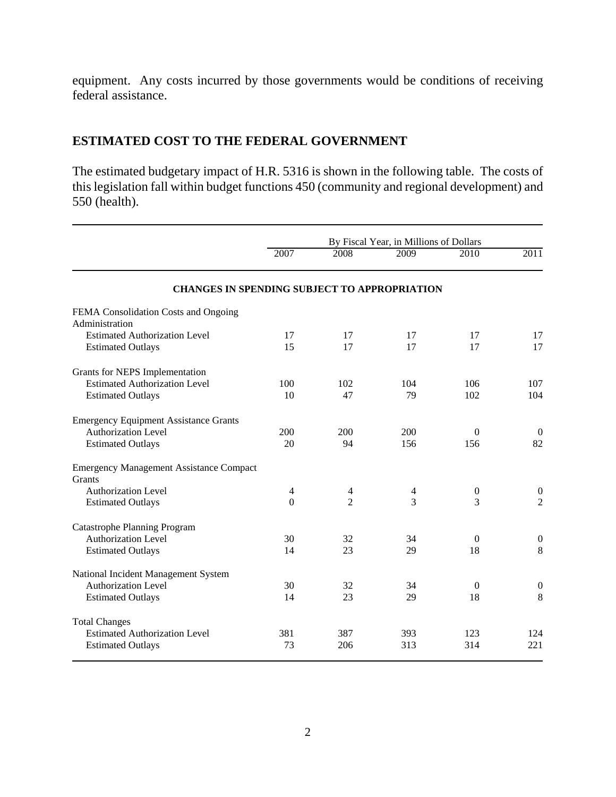equipment. Any costs incurred by those governments would be conditions of receiving federal assistance.

## **ESTIMATED COST TO THE FEDERAL GOVERNMENT**

The estimated budgetary impact of H.R. 5316 is shown in the following table. The costs of this legislation fall within budget functions 450 (community and regional development) and 550 (health).

|                                                          | By Fiscal Year, in Millions of Dollars |                |                |                  |                  |
|----------------------------------------------------------|----------------------------------------|----------------|----------------|------------------|------------------|
|                                                          | 2007                                   | 2008           | 2009           | 2010             | $\sqrt{2011}$    |
| <b>CHANGES IN SPENDING SUBJECT TO APPROPRIATION</b>      |                                        |                |                |                  |                  |
| FEMA Consolidation Costs and Ongoing                     |                                        |                |                |                  |                  |
| Administration                                           |                                        |                |                |                  |                  |
| <b>Estimated Authorization Level</b>                     | 17                                     | 17             | 17             | 17               | 17               |
| <b>Estimated Outlays</b>                                 | 15                                     | 17             | 17             | 17               | 17               |
| Grants for NEPS Implementation                           |                                        |                |                |                  |                  |
| <b>Estimated Authorization Level</b>                     | 100                                    | 102            | 104            | 106              | 107              |
| <b>Estimated Outlays</b>                                 | 10                                     | 47             | 79             | 102              | 104              |
| <b>Emergency Equipment Assistance Grants</b>             |                                        |                |                |                  |                  |
| <b>Authorization Level</b>                               | 200                                    | 200            | 200            | $\Omega$         | $\overline{0}$   |
| <b>Estimated Outlays</b>                                 | 20                                     | 94             | 156            | 156              | 82               |
| <b>Emergency Management Assistance Compact</b><br>Grants |                                        |                |                |                  |                  |
| <b>Authorization Level</b>                               | $\overline{4}$                         | $\overline{4}$ | $\overline{4}$ | $\boldsymbol{0}$ | $\boldsymbol{0}$ |
| <b>Estimated Outlays</b>                                 | $\theta$                               | $\overline{2}$ | 3              | 3                | $\overline{2}$   |
| <b>Catastrophe Planning Program</b>                      |                                        |                |                |                  |                  |
| <b>Authorization Level</b>                               | 30                                     | 32             | 34             | $\Omega$         | $\boldsymbol{0}$ |
| <b>Estimated Outlays</b>                                 | 14                                     | 23             | 29             | 18               | 8                |
| National Incident Management System                      |                                        |                |                |                  |                  |
| <b>Authorization Level</b>                               | 30                                     | 32             | 34             | $\Omega$         | $\boldsymbol{0}$ |
| <b>Estimated Outlays</b>                                 | 14                                     | 23             | 29             | 18               | 8                |
| <b>Total Changes</b>                                     |                                        |                |                |                  |                  |
| <b>Estimated Authorization Level</b>                     | 381                                    | 387            | 393            | 123              | 124              |
| <b>Estimated Outlays</b>                                 | 73                                     | 206            | 313            | 314              | 221              |
|                                                          |                                        |                |                |                  |                  |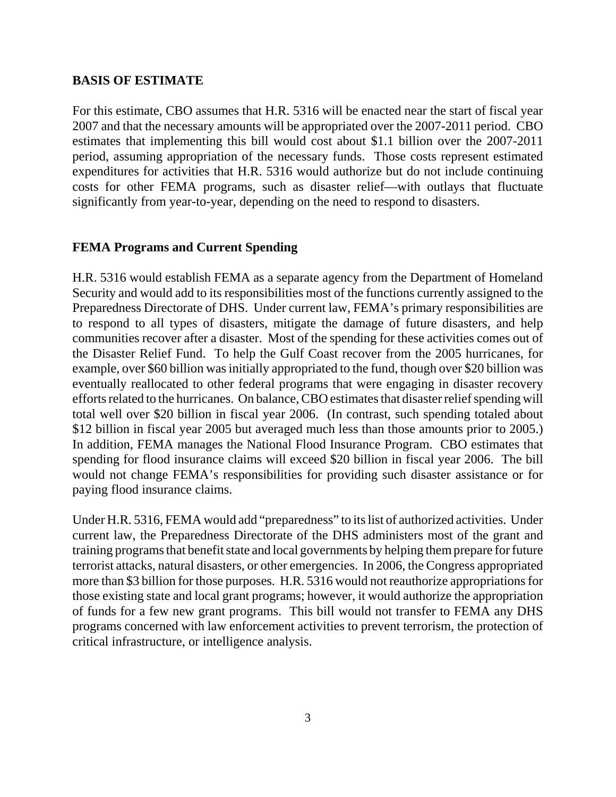#### **BASIS OF ESTIMATE**

For this estimate, CBO assumes that H.R. 5316 will be enacted near the start of fiscal year 2007 and that the necessary amounts will be appropriated over the 2007-2011 period. CBO estimates that implementing this bill would cost about \$1.1 billion over the 2007-2011 period, assuming appropriation of the necessary funds. Those costs represent estimated expenditures for activities that H.R. 5316 would authorize but do not include continuing costs for other FEMA programs, such as disaster relief—with outlays that fluctuate significantly from year-to-year, depending on the need to respond to disasters.

#### **FEMA Programs and Current Spending**

H.R. 5316 would establish FEMA as a separate agency from the Department of Homeland Security and would add to its responsibilities most of the functions currently assigned to the Preparedness Directorate of DHS. Under current law, FEMA's primary responsibilities are to respond to all types of disasters, mitigate the damage of future disasters, and help communities recover after a disaster. Most of the spending for these activities comes out of the Disaster Relief Fund. To help the Gulf Coast recover from the 2005 hurricanes, for example, over \$60 billion was initially appropriated to the fund, though over \$20 billion was eventually reallocated to other federal programs that were engaging in disaster recovery efforts related to the hurricanes. On balance, CBO estimates that disaster relief spending will total well over \$20 billion in fiscal year 2006. (In contrast, such spending totaled about \$12 billion in fiscal year 2005 but averaged much less than those amounts prior to 2005.) In addition, FEMA manages the National Flood Insurance Program. CBO estimates that spending for flood insurance claims will exceed \$20 billion in fiscal year 2006. The bill would not change FEMA's responsibilities for providing such disaster assistance or for paying flood insurance claims.

Under H.R. 5316, FEMA would add "preparedness" to its list of authorized activities. Under current law, the Preparedness Directorate of the DHS administers most of the grant and training programs that benefit state and local governments by helping them prepare for future terrorist attacks, natural disasters, or other emergencies. In 2006, the Congress appropriated more than \$3 billion for those purposes. H.R. 5316 would not reauthorize appropriations for those existing state and local grant programs; however, it would authorize the appropriation of funds for a few new grant programs. This bill would not transfer to FEMA any DHS programs concerned with law enforcement activities to prevent terrorism, the protection of critical infrastructure, or intelligence analysis.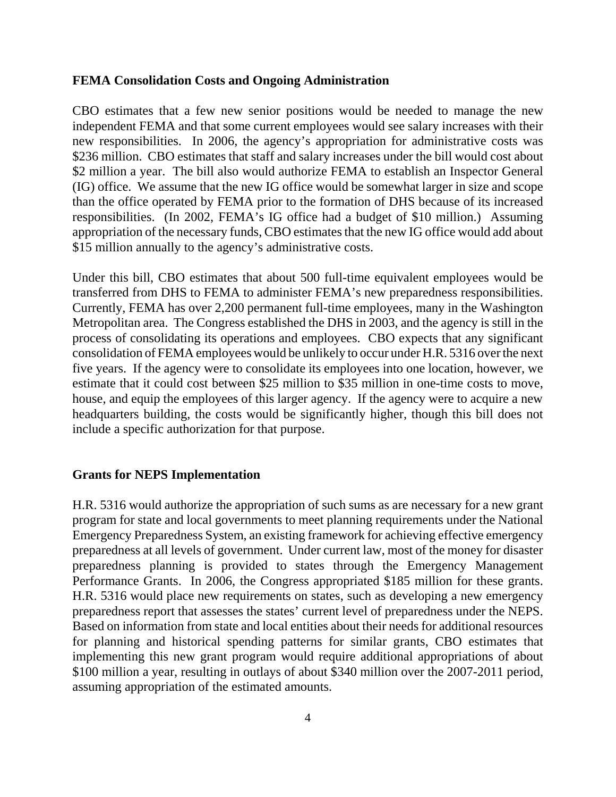#### **FEMA Consolidation Costs and Ongoing Administration**

CBO estimates that a few new senior positions would be needed to manage the new independent FEMA and that some current employees would see salary increases with their new responsibilities. In 2006, the agency's appropriation for administrative costs was \$236 million. CBO estimates that staff and salary increases under the bill would cost about \$2 million a year. The bill also would authorize FEMA to establish an Inspector General (IG) office. We assume that the new IG office would be somewhat larger in size and scope than the office operated by FEMA prior to the formation of DHS because of its increased responsibilities. (In 2002, FEMA's IG office had a budget of \$10 million.) Assuming appropriation of the necessary funds, CBO estimates that the new IG office would add about \$15 million annually to the agency's administrative costs.

Under this bill, CBO estimates that about 500 full-time equivalent employees would be transferred from DHS to FEMA to administer FEMA's new preparedness responsibilities. Currently, FEMA has over 2,200 permanent full-time employees, many in the Washington Metropolitan area. The Congress established the DHS in 2003, and the agency is still in the process of consolidating its operations and employees. CBO expects that any significant consolidation of FEMA employees would be unlikely to occur under H.R. 5316 over the next five years. If the agency were to consolidate its employees into one location, however, we estimate that it could cost between \$25 million to \$35 million in one-time costs to move, house, and equip the employees of this larger agency. If the agency were to acquire a new headquarters building, the costs would be significantly higher, though this bill does not include a specific authorization for that purpose.

#### **Grants for NEPS Implementation**

H.R. 5316 would authorize the appropriation of such sums as are necessary for a new grant program for state and local governments to meet planning requirements under the National Emergency Preparedness System, an existing framework for achieving effective emergency preparedness at all levels of government. Under current law, most of the money for disaster preparedness planning is provided to states through the Emergency Management Performance Grants. In 2006, the Congress appropriated \$185 million for these grants. H.R. 5316 would place new requirements on states, such as developing a new emergency preparedness report that assesses the states' current level of preparedness under the NEPS. Based on information from state and local entities about their needs for additional resources for planning and historical spending patterns for similar grants, CBO estimates that implementing this new grant program would require additional appropriations of about \$100 million a year, resulting in outlays of about \$340 million over the 2007-2011 period, assuming appropriation of the estimated amounts.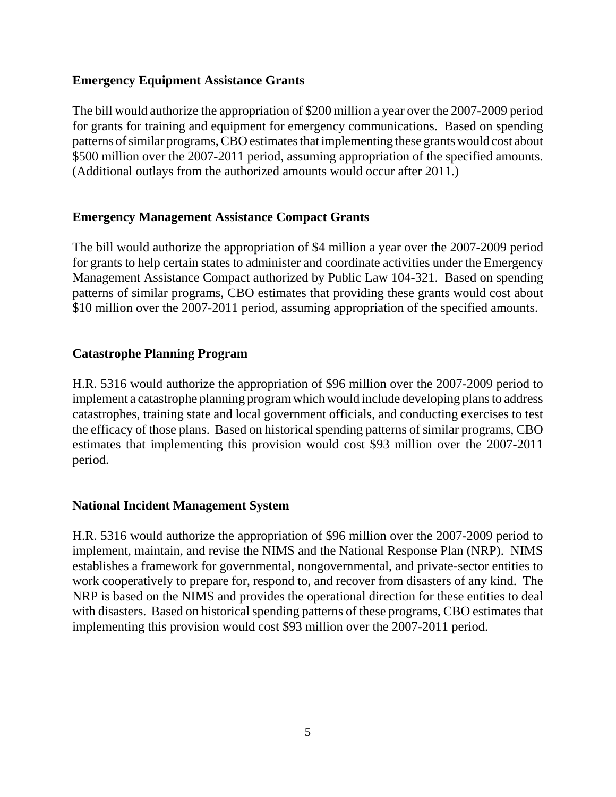#### **Emergency Equipment Assistance Grants**

The bill would authorize the appropriation of \$200 million a year over the 2007-2009 period for grants for training and equipment for emergency communications. Based on spending patterns of similar programs, CBO estimates that implementing these grants would cost about \$500 million over the 2007-2011 period, assuming appropriation of the specified amounts. (Additional outlays from the authorized amounts would occur after 2011.)

#### **Emergency Management Assistance Compact Grants**

The bill would authorize the appropriation of \$4 million a year over the 2007-2009 period for grants to help certain states to administer and coordinate activities under the Emergency Management Assistance Compact authorized by Public Law 104-321. Based on spending patterns of similar programs, CBO estimates that providing these grants would cost about \$10 million over the 2007-2011 period, assuming appropriation of the specified amounts.

#### **Catastrophe Planning Program**

H.R. 5316 would authorize the appropriation of \$96 million over the 2007-2009 period to implement a catastrophe planning program which would include developing plans to address catastrophes, training state and local government officials, and conducting exercises to test the efficacy of those plans. Based on historical spending patterns of similar programs, CBO estimates that implementing this provision would cost \$93 million over the 2007-2011 period.

#### **National Incident Management System**

H.R. 5316 would authorize the appropriation of \$96 million over the 2007-2009 period to implement, maintain, and revise the NIMS and the National Response Plan (NRP). NIMS establishes a framework for governmental, nongovernmental, and private-sector entities to work cooperatively to prepare for, respond to, and recover from disasters of any kind. The NRP is based on the NIMS and provides the operational direction for these entities to deal with disasters. Based on historical spending patterns of these programs, CBO estimates that implementing this provision would cost \$93 million over the 2007-2011 period.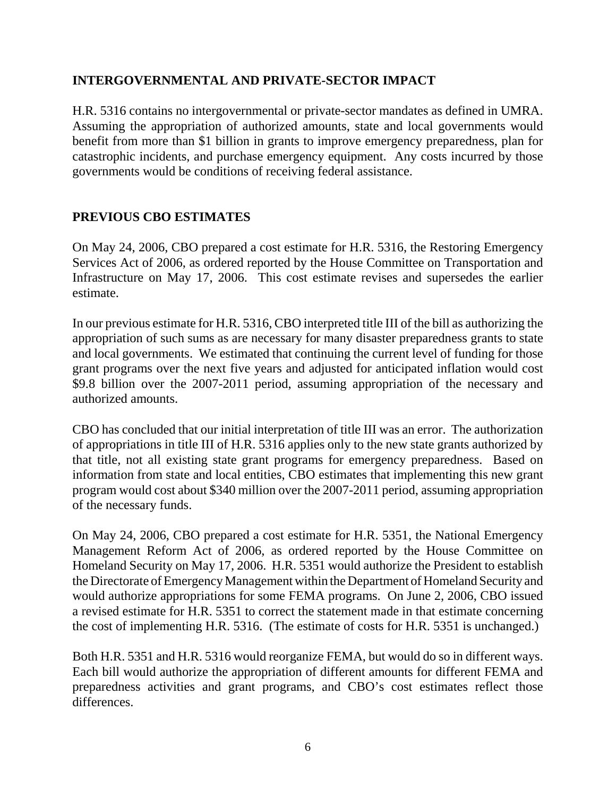#### **INTERGOVERNMENTAL AND PRIVATE-SECTOR IMPACT**

H.R. 5316 contains no intergovernmental or private-sector mandates as defined in UMRA. Assuming the appropriation of authorized amounts, state and local governments would benefit from more than \$1 billion in grants to improve emergency preparedness, plan for catastrophic incidents, and purchase emergency equipment. Any costs incurred by those governments would be conditions of receiving federal assistance.

## **PREVIOUS CBO ESTIMATES**

On May 24, 2006, CBO prepared a cost estimate for H.R. 5316, the Restoring Emergency Services Act of 2006, as ordered reported by the House Committee on Transportation and Infrastructure on May 17, 2006. This cost estimate revises and supersedes the earlier estimate.

In our previous estimate for H.R. 5316, CBO interpreted title III of the bill as authorizing the appropriation of such sums as are necessary for many disaster preparedness grants to state and local governments. We estimated that continuing the current level of funding for those grant programs over the next five years and adjusted for anticipated inflation would cost \$9.8 billion over the 2007-2011 period, assuming appropriation of the necessary and authorized amounts.

CBO has concluded that our initial interpretation of title III was an error. The authorization of appropriations in title III of H.R. 5316 applies only to the new state grants authorized by that title, not all existing state grant programs for emergency preparedness. Based on information from state and local entities, CBO estimates that implementing this new grant program would cost about \$340 million over the 2007-2011 period, assuming appropriation of the necessary funds.

On May 24, 2006, CBO prepared a cost estimate for H.R. 5351, the National Emergency Management Reform Act of 2006, as ordered reported by the House Committee on Homeland Security on May 17, 2006. H.R. 5351 would authorize the President to establish the Directorate of Emergency Management within the Department of Homeland Security and would authorize appropriations for some FEMA programs. On June 2, 2006, CBO issued a revised estimate for H.R. 5351 to correct the statement made in that estimate concerning the cost of implementing H.R. 5316. (The estimate of costs for H.R. 5351 is unchanged.)

Both H.R. 5351 and H.R. 5316 would reorganize FEMA, but would do so in different ways. Each bill would authorize the appropriation of different amounts for different FEMA and preparedness activities and grant programs, and CBO's cost estimates reflect those differences.